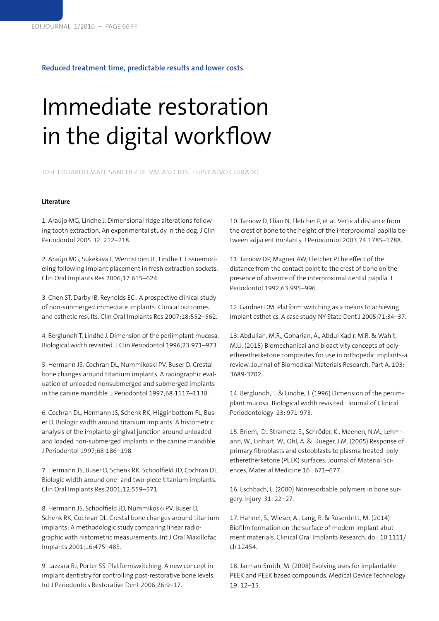## **Reduced treatment time, predictable results and lower costs**

## Immediate restoration in the digital workflow

JOSÉ EDUARDO MATÉ SÁNCHEZ DE VAL AND JOSÉ LUIS CALVO GUIRADO

## **Literature**

1. Araújo MG, Lindhe J. Dimensional ridge alterations following tooth extraction. An experimental study in the dog. J Clin Periodontol 2005;32: 212–218.

2. Araújo MG, Sukekava F, Wennström JL, Lindhe J. Tissuemodeling following implant placement in fresh extraction sockets. Clin Oral Implants Res 2006;17:615–624.

3. Chen ST, Darby IB, Reynolds EC . A prospective clinical study of non-submerged immediate implants: Clinical outcomes and esthetic results. Clin Oral Implants Res 2007;18:552–562.

4. Berglundh T, Lindhe J. Dimension of the periimplant mucosa. Biological width revisited. J Clin Periodontol 1996;23:971–973.

5. Hermann JS, Cochran DL, Nummikoski PV, Buser D. Crestal bone changes around titanium implants. A radiographic evaluation of unloaded nonsubmerged and submerged implants in the canine mandible. J Periodontol 1997;68:1117–1130.

6. Cochran DL, Hermann JS, Schenk RK, Higginbottom FL, Buser D. Biologic width around titanium implants. A histometric analysis of the implanto-gingival junction around unloaded and loaded non-submerged implants in the canine mandible. J Periodontol 1997;68:186–198.

7. Hermann JS, Buser D, Schenk RK, Schoolfield JD, Cochran DL. Biologic width around one- and two-piece titanium implants. Clin Oral Implants Res 2001;12:559–571.

8. Hermann JS, Schoolfield JD, Nummikoski PV, Buser D, Schenk RK, Cochran DL. Crestal bone changes around titanium implants: A methodologic study comparing linear radiographic with histometric measurements. Int J Oral Maxillofac Implants 2001;16:475–485.

9. Lazzara RJ, Porter SS. Platformswitching. A new concept in implant dentistry for controlling post-restorative bone levels. Int J Periodontics Restorative Dent 2006;26:9–17.

10. Tarnow D, Elian N, Fletcher P, et al. Vertical distance from the crest of bone to the height of the interproximal papilla between adjacent implants. J Periodontol 2003;74:1785–1788.

11. Tarnow DP, Magner AW, Fletcher P.The effect of the distance from the contact point to the crest of bone on the presence of absence of the interproximal dental papilla. J Periodontol 1992;63:995–996.

12. Gardner DM. Platform switching as a means to achieving implant esthetics. A case study. NY State Dent J 2005;71:34–37.

13. Abdullah, M.R., Goharian, A., Abdul Kadir, M.R. & Wahit, M.U. (2015) Biomechanical and bioactivity concepts of polyetheretherketone composites for use in orthopedic implants-a review. Journal of Biomedical Materials Research, Part A. 103: 3689-3702.

14. Berglundh, T. & Lindhe, J. (1996) Dimension of the periimplant mucosa. Biological width revisited. Journal of Clinical Periodontology 23: 971-973.

15. Briem, D., Strametz, S., Schröder, K., Meenen, N.M., Lehmann, W., Linhart, W., Ohl, A. & Rueger, J.M. (2005) Response of primary fibroblasts and osteoblasts to plasma treated polyetheretherketone (PEEK) surfaces. Journal of Material Sciences, Material Medicine 16 : 671–677.

16. Eschbach, L. (2000) Nonresorbable polymers in bone surgery. Injury 31: 22–27.

17. Hahnel, S., Wieser, A., Lang, R. & Rosentritt, M. (2014) Biofilm formation on the surface of modern implant abutment materials. Clinical Oral Implants Research. doi: 10.1111/ clr.12454.

18. Jarman-Smith, M. (2008) Evolving uses for implantable PEEK and PEEK based compounds. Medical Device Technology 19: 12–15.